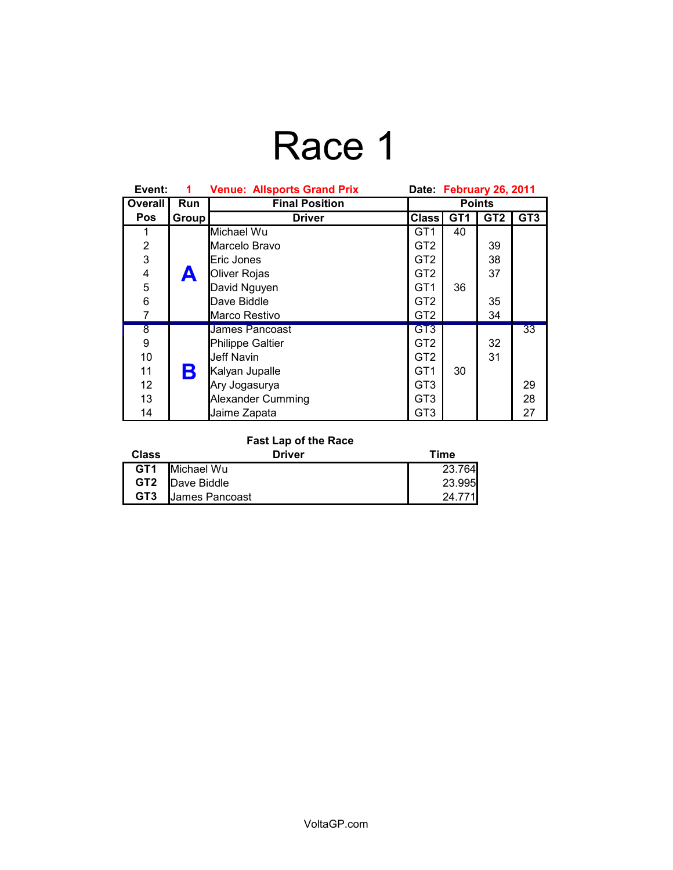# Race 1

| Event:             | 1          | <b>Venue: Allsports Grand Prix</b> | Date February 26, 2011 |                 |                 |                 |
|--------------------|------------|------------------------------------|------------------------|-----------------|-----------------|-----------------|
| Overall            | <b>Run</b> | <b>Final Position</b>              | <b>Points</b>          |                 |                 |                 |
| <b>Pos</b>         | Group      | <b>Driver</b>                      | <b>Class</b>           | GT <sub>1</sub> | GT <sub>2</sub> | GT <sub>3</sub> |
|                    |            | Michael Wu                         | GT1                    | 40              |                 |                 |
| $\frac{2}{3}$      |            | Marcelo Bravo                      | GT <sub>2</sub>        |                 | 39              |                 |
|                    |            | Eric Jones                         | GT <sub>2</sub>        |                 | 38              |                 |
| 4                  | A          | Oliver Rojas                       | GT <sub>2</sub>        |                 | 37              |                 |
| 5                  |            | David Nguyen                       | GT <sub>1</sub>        | 36              |                 |                 |
| 6                  |            | Dave Biddle                        | GT <sub>2</sub>        |                 | 35              |                 |
| 7                  |            | Marco Restivo                      | GT <sub>2</sub>        |                 | 34              |                 |
| $\overline{\bf 8}$ |            | James Pancoast                     | GT <sub>3</sub>        |                 |                 | 33              |
| 9                  |            | Philippe Galtier                   | GT <sub>2</sub>        |                 | 32              |                 |
| 10                 |            | Jeff Navin                         | GT <sub>2</sub>        |                 | 31              |                 |
| 11                 | Β          | Kalyan Jupalle                     | GT <sub>1</sub>        | 30              |                 |                 |
| 12                 |            | Ary Jogasurya                      | GT <sub>3</sub>        |                 |                 | 29              |
| 13                 |            | Alexander Cumming                  | GT <sub>3</sub>        |                 |                 | 28              |
| 14                 |            | Jaime Zapata                       | GT <sub>3</sub>        |                 |                 | 27              |

#### **Fast Lap of the Race**

| Class           | <b>Driver</b>          | Time   |
|-----------------|------------------------|--------|
| GT <sub>1</sub> | Michael Wu             | 23.764 |
|                 | <b>GT2</b> Dave Biddle | 23.995 |
| GT <sub>3</sub> | <b>James Pancoast</b>  | 24 771 |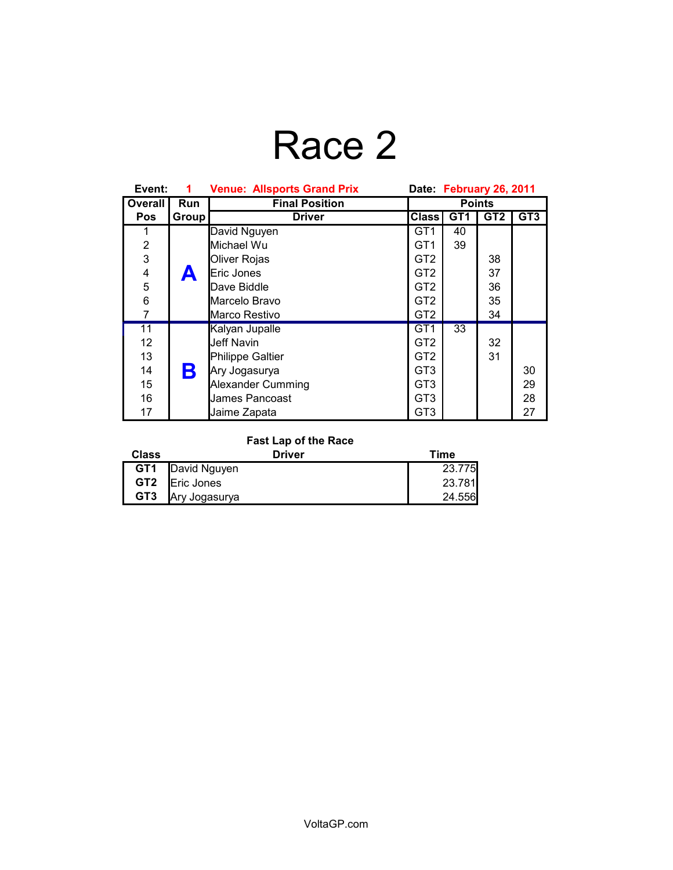# Race 2

| Event:                  | 1          | <b>Venue: Allsports Grand Prix</b> | Date February 26, 2011 |                 |                 |                 |
|-------------------------|------------|------------------------------------|------------------------|-----------------|-----------------|-----------------|
| Overall                 | <b>Run</b> | <b>Final Position</b>              | <b>Points</b>          |                 |                 |                 |
| <b>Pos</b>              | Group      | <b>Driver</b>                      | <b>Class</b>           | GT <sub>1</sub> | GT <sub>2</sub> | GT <sub>3</sub> |
|                         |            | David Nguyen                       | GT <sub>1</sub>        | 40              |                 |                 |
| $\overline{\mathbf{c}}$ |            | Michael Wu                         | GT <sub>1</sub>        | 39              |                 |                 |
| 3                       |            | Oliver Rojas                       | GT <sub>2</sub>        |                 | 38              |                 |
| $\overline{\mathbf{4}}$ |            | Eric Jones                         | GT <sub>2</sub>        |                 | 37              |                 |
| 5                       |            | Dave Biddle                        | GT2                    |                 | 36              |                 |
| 6                       |            | Marcelo Bravo                      | GT <sub>2</sub>        |                 | 35              |                 |
| 7                       |            | Marco Restivo                      | GT <sub>2</sub>        |                 | 34              |                 |
| $\overline{11}$         |            | Kalyan Jupalle                     | GT <sub>1</sub>        | 33              |                 |                 |
| 12                      |            | Jeff Navin                         | GT <sub>2</sub>        |                 | 32              |                 |
| 13                      |            | Philippe Galtier                   | GT2                    |                 | 31              |                 |
| 14                      | Β          | Ary Jogasurya                      | GT <sub>3</sub>        |                 |                 | 30              |
| 15                      |            | Alexander Cumming                  | GT <sub>3</sub>        |                 |                 | 29              |
| 16                      |            | James Pancoast                     | GT <sub>3</sub>        |                 |                 | 28              |
| 17                      |            | Jaime Zapata                       | GT <sub>3</sub>        |                 |                 | 27              |

### **Fast Lap of the Race**

| Class           | <b>Driver</b>           | Time   |
|-----------------|-------------------------|--------|
|                 | <b>GT1</b> David Nguyen | 23.775 |
|                 | <b>GT2 Eric Jones</b>   | 23.781 |
| GT <sub>3</sub> | Ary Jogasurya           | 24.556 |